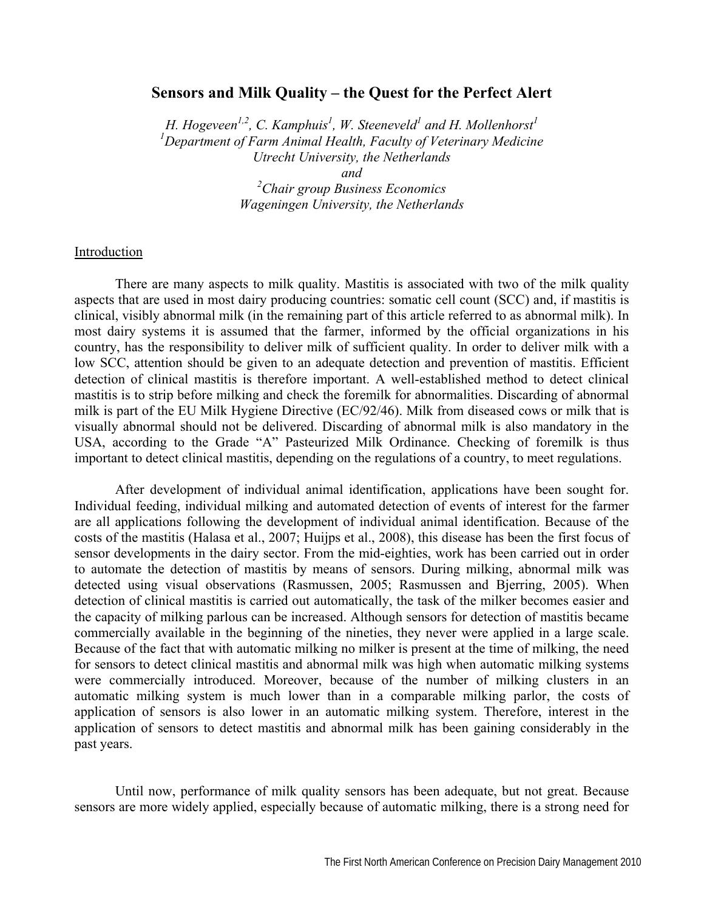# **Sensors and Milk Quality – the Quest for the Perfect Alert**

H. Hogeveen<sup>1,2</sup>, C. Kamphuis<sup>1</sup>, W. Steeneveld<sup>1</sup> and H. Mollenhorst<sup>1</sup> *1 Department of Farm Animal Health, Faculty of Veterinary Medicine Utrecht University, the Netherlands and* 

> *2 Chair group Business Economics Wageningen University, the Netherlands*

### Introduction

There are many aspects to milk quality. Mastitis is associated with two of the milk quality aspects that are used in most dairy producing countries: somatic cell count (SCC) and, if mastitis is clinical, visibly abnormal milk (in the remaining part of this article referred to as abnormal milk). In most dairy systems it is assumed that the farmer, informed by the official organizations in his country, has the responsibility to deliver milk of sufficient quality. In order to deliver milk with a low SCC, attention should be given to an adequate detection and prevention of mastitis. Efficient detection of clinical mastitis is therefore important. A well-established method to detect clinical mastitis is to strip before milking and check the foremilk for abnormalities. Discarding of abnormal milk is part of the EU Milk Hygiene Directive (EC/92/46). Milk from diseased cows or milk that is visually abnormal should not be delivered. Discarding of abnormal milk is also mandatory in the USA, according to the Grade "A" Pasteurized Milk Ordinance. Checking of foremilk is thus important to detect clinical mastitis, depending on the regulations of a country, to meet regulations.

After development of individual animal identification, applications have been sought for. Individual feeding, individual milking and automated detection of events of interest for the farmer are all applications following the development of individual animal identification. Because of the costs of the mastitis (Halasa et al., 2007; Huijps et al., 2008), this disease has been the first focus of sensor developments in the dairy sector. From the mid-eighties, work has been carried out in order to automate the detection of mastitis by means of sensors. During milking, abnormal milk was detected using visual observations (Rasmussen, 2005; Rasmussen and Bjerring, 2005). When detection of clinical mastitis is carried out automatically, the task of the milker becomes easier and the capacity of milking parlous can be increased. Although sensors for detection of mastitis became commercially available in the beginning of the nineties, they never were applied in a large scale. Because of the fact that with automatic milking no milker is present at the time of milking, the need for sensors to detect clinical mastitis and abnormal milk was high when automatic milking systems were commercially introduced. Moreover, because of the number of milking clusters in an automatic milking system is much lower than in a comparable milking parlor, the costs of application of sensors is also lower in an automatic milking system. Therefore, interest in the application of sensors to detect mastitis and abnormal milk has been gaining considerably in the past years.

Until now, performance of milk quality sensors has been adequate, but not great. Because sensors are more widely applied, especially because of automatic milking, there is a strong need for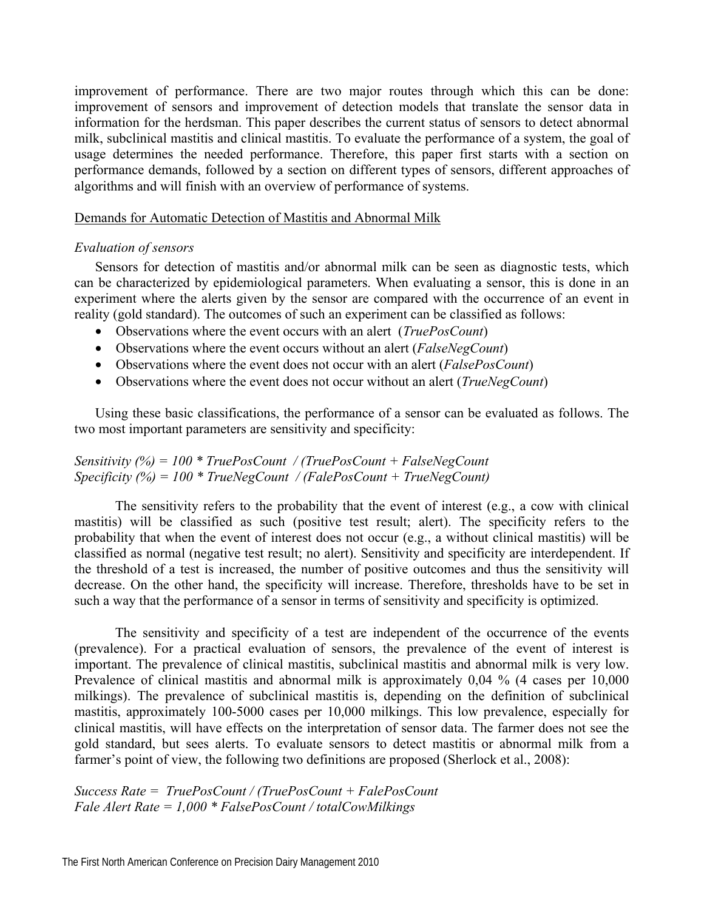improvement of performance. There are two major routes through which this can be done: improvement of sensors and improvement of detection models that translate the sensor data in information for the herdsman. This paper describes the current status of sensors to detect abnormal milk, subclinical mastitis and clinical mastitis. To evaluate the performance of a system, the goal of usage determines the needed performance. Therefore, this paper first starts with a section on performance demands, followed by a section on different types of sensors, different approaches of algorithms and will finish with an overview of performance of systems.

### Demands for Automatic Detection of Mastitis and Abnormal Milk

# *Evaluation of sensors*

Sensors for detection of mastitis and/or abnormal milk can be seen as diagnostic tests, which can be characterized by epidemiological parameters. When evaluating a sensor, this is done in an experiment where the alerts given by the sensor are compared with the occurrence of an event in reality (gold standard). The outcomes of such an experiment can be classified as follows:

- Observations where the event occurs with an alert (*TruePosCount*)
- Observations where the event occurs without an alert (*FalseNegCount*)
- Observations where the event does not occur with an alert (*FalsePosCount*)
- Observations where the event does not occur without an alert (*TrueNegCount*)

Using these basic classifications, the performance of a sensor can be evaluated as follows. The two most important parameters are sensitivity and specificity:

# *Sensitivity (%) = 100 \* TruePosCount / (TruePosCount + FalseNegCount Specificity (%) = 100 \* TrueNegCount / (FalePosCount + TrueNegCount)*

The sensitivity refers to the probability that the event of interest (e.g., a cow with clinical mastitis) will be classified as such (positive test result; alert). The specificity refers to the probability that when the event of interest does not occur (e.g., a without clinical mastitis) will be classified as normal (negative test result; no alert). Sensitivity and specificity are interdependent. If the threshold of a test is increased, the number of positive outcomes and thus the sensitivity will decrease. On the other hand, the specificity will increase. Therefore, thresholds have to be set in such a way that the performance of a sensor in terms of sensitivity and specificity is optimized.

The sensitivity and specificity of a test are independent of the occurrence of the events (prevalence). For a practical evaluation of sensors, the prevalence of the event of interest is important. The prevalence of clinical mastitis, subclinical mastitis and abnormal milk is very low. Prevalence of clinical mastitis and abnormal milk is approximately 0,04 % (4 cases per 10,000 milkings). The prevalence of subclinical mastitis is, depending on the definition of subclinical mastitis, approximately 100-5000 cases per 10,000 milkings. This low prevalence, especially for clinical mastitis, will have effects on the interpretation of sensor data. The farmer does not see the gold standard, but sees alerts. To evaluate sensors to detect mastitis or abnormal milk from a farmer's point of view, the following two definitions are proposed (Sherlock et al., 2008):

*Success Rate = TruePosCount / (TruePosCount + FalePosCount Fale Alert Rate = 1,000 \* FalsePosCount / totalCowMilkings*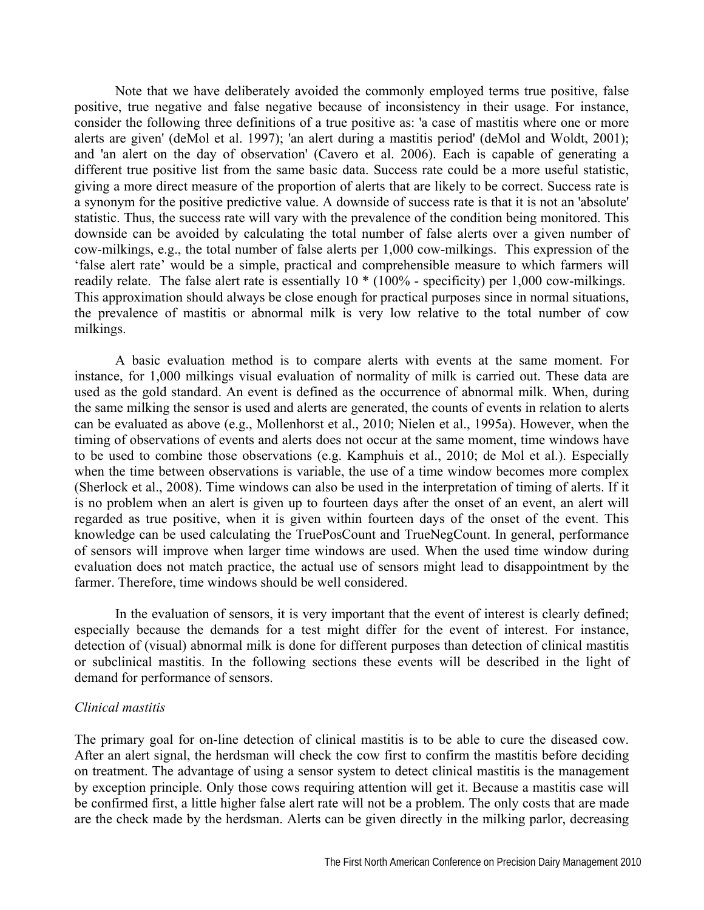Note that we have deliberately avoided the commonly employed terms true positive, false positive, true negative and false negative because of inconsistency in their usage. For instance, consider the following three definitions of a true positive as: 'a case of mastitis where one or more alerts are given' (deMol et al. 1997); 'an alert during a mastitis period' (deMol and Woldt, 2001); and 'an alert on the day of observation' (Cavero et al. 2006). Each is capable of generating a different true positive list from the same basic data. Success rate could be a more useful statistic, giving a more direct measure of the proportion of alerts that are likely to be correct. Success rate is a synonym for the positive predictive value. A downside of success rate is that it is not an 'absolute' statistic. Thus, the success rate will vary with the prevalence of the condition being monitored. This downside can be avoided by calculating the total number of false alerts over a given number of cow-milkings, e.g., the total number of false alerts per 1,000 cow-milkings. This expression of the 'false alert rate' would be a simple, practical and comprehensible measure to which farmers will readily relate. The false alert rate is essentially 10 \* (100% - specificity) per 1,000 cow-milkings. This approximation should always be close enough for practical purposes since in normal situations, the prevalence of mastitis or abnormal milk is very low relative to the total number of cow milkings.

A basic evaluation method is to compare alerts with events at the same moment. For instance, for 1,000 milkings visual evaluation of normality of milk is carried out. These data are used as the gold standard. An event is defined as the occurrence of abnormal milk. When, during the same milking the sensor is used and alerts are generated, the counts of events in relation to alerts can be evaluated as above (e.g., Mollenhorst et al., 2010; Nielen et al., 1995a). However, when the timing of observations of events and alerts does not occur at the same moment, time windows have to be used to combine those observations (e.g. Kamphuis et al., 2010; de Mol et al.). Especially when the time between observations is variable, the use of a time window becomes more complex (Sherlock et al., 2008). Time windows can also be used in the interpretation of timing of alerts. If it is no problem when an alert is given up to fourteen days after the onset of an event, an alert will regarded as true positive, when it is given within fourteen days of the onset of the event. This knowledge can be used calculating the TruePosCount and TrueNegCount. In general, performance of sensors will improve when larger time windows are used. When the used time window during evaluation does not match practice, the actual use of sensors might lead to disappointment by the farmer. Therefore, time windows should be well considered.

In the evaluation of sensors, it is very important that the event of interest is clearly defined; especially because the demands for a test might differ for the event of interest. For instance, detection of (visual) abnormal milk is done for different purposes than detection of clinical mastitis or subclinical mastitis. In the following sections these events will be described in the light of demand for performance of sensors.

### *Clinical mastitis*

The primary goal for on-line detection of clinical mastitis is to be able to cure the diseased cow. After an alert signal, the herdsman will check the cow first to confirm the mastitis before deciding on treatment. The advantage of using a sensor system to detect clinical mastitis is the management by exception principle. Only those cows requiring attention will get it. Because a mastitis case will be confirmed first, a little higher false alert rate will not be a problem. The only costs that are made are the check made by the herdsman. Alerts can be given directly in the milking parlor, decreasing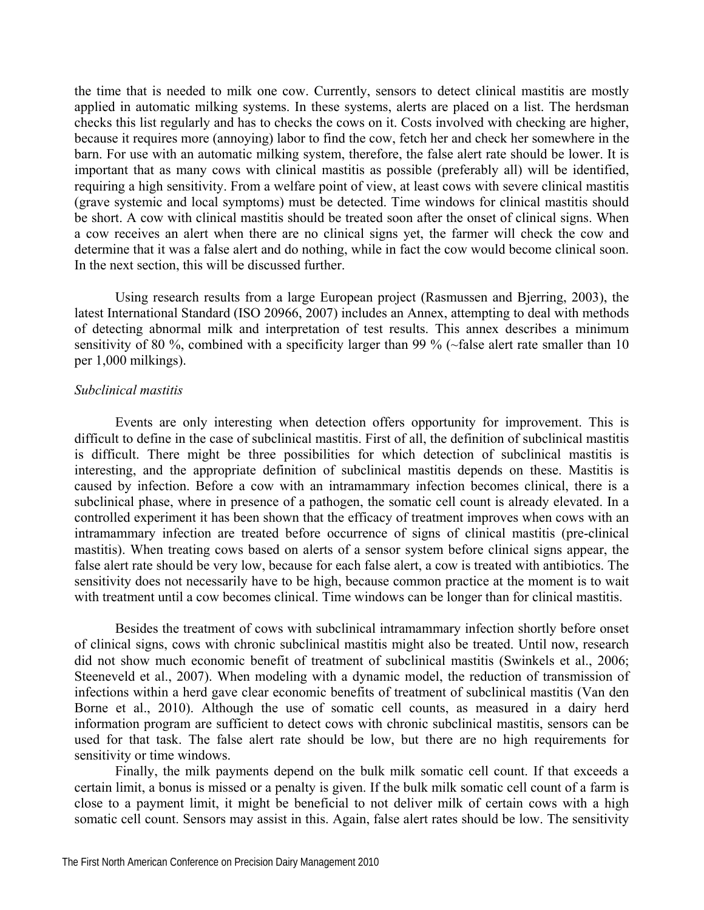the time that is needed to milk one cow. Currently, sensors to detect clinical mastitis are mostly applied in automatic milking systems. In these systems, alerts are placed on a list. The herdsman checks this list regularly and has to checks the cows on it. Costs involved with checking are higher, because it requires more (annoying) labor to find the cow, fetch her and check her somewhere in the barn. For use with an automatic milking system, therefore, the false alert rate should be lower. It is important that as many cows with clinical mastitis as possible (preferably all) will be identified, requiring a high sensitivity. From a welfare point of view, at least cows with severe clinical mastitis (grave systemic and local symptoms) must be detected. Time windows for clinical mastitis should be short. A cow with clinical mastitis should be treated soon after the onset of clinical signs. When a cow receives an alert when there are no clinical signs yet, the farmer will check the cow and determine that it was a false alert and do nothing, while in fact the cow would become clinical soon. In the next section, this will be discussed further.

Using research results from a large European project (Rasmussen and Bjerring, 2003), the latest International Standard (ISO 20966, 2007) includes an Annex, attempting to deal with methods of detecting abnormal milk and interpretation of test results. This annex describes a minimum sensitivity of 80 %, combined with a specificity larger than 99 % ( $\sim$ false alert rate smaller than 10 per 1,000 milkings).

# *Subclinical mastitis*

Events are only interesting when detection offers opportunity for improvement. This is difficult to define in the case of subclinical mastitis. First of all, the definition of subclinical mastitis is difficult. There might be three possibilities for which detection of subclinical mastitis is interesting, and the appropriate definition of subclinical mastitis depends on these. Mastitis is caused by infection. Before a cow with an intramammary infection becomes clinical, there is a subclinical phase, where in presence of a pathogen, the somatic cell count is already elevated. In a controlled experiment it has been shown that the efficacy of treatment improves when cows with an intramammary infection are treated before occurrence of signs of clinical mastitis (pre-clinical mastitis). When treating cows based on alerts of a sensor system before clinical signs appear, the false alert rate should be very low, because for each false alert, a cow is treated with antibiotics. The sensitivity does not necessarily have to be high, because common practice at the moment is to wait with treatment until a cow becomes clinical. Time windows can be longer than for clinical mastitis.

Besides the treatment of cows with subclinical intramammary infection shortly before onset of clinical signs, cows with chronic subclinical mastitis might also be treated. Until now, research did not show much economic benefit of treatment of subclinical mastitis (Swinkels et al., 2006; Steeneveld et al., 2007). When modeling with a dynamic model, the reduction of transmission of infections within a herd gave clear economic benefits of treatment of subclinical mastitis (Van den Borne et al., 2010). Although the use of somatic cell counts, as measured in a dairy herd information program are sufficient to detect cows with chronic subclinical mastitis, sensors can be used for that task. The false alert rate should be low, but there are no high requirements for sensitivity or time windows.

Finally, the milk payments depend on the bulk milk somatic cell count. If that exceeds a certain limit, a bonus is missed or a penalty is given. If the bulk milk somatic cell count of a farm is close to a payment limit, it might be beneficial to not deliver milk of certain cows with a high somatic cell count. Sensors may assist in this. Again, false alert rates should be low. The sensitivity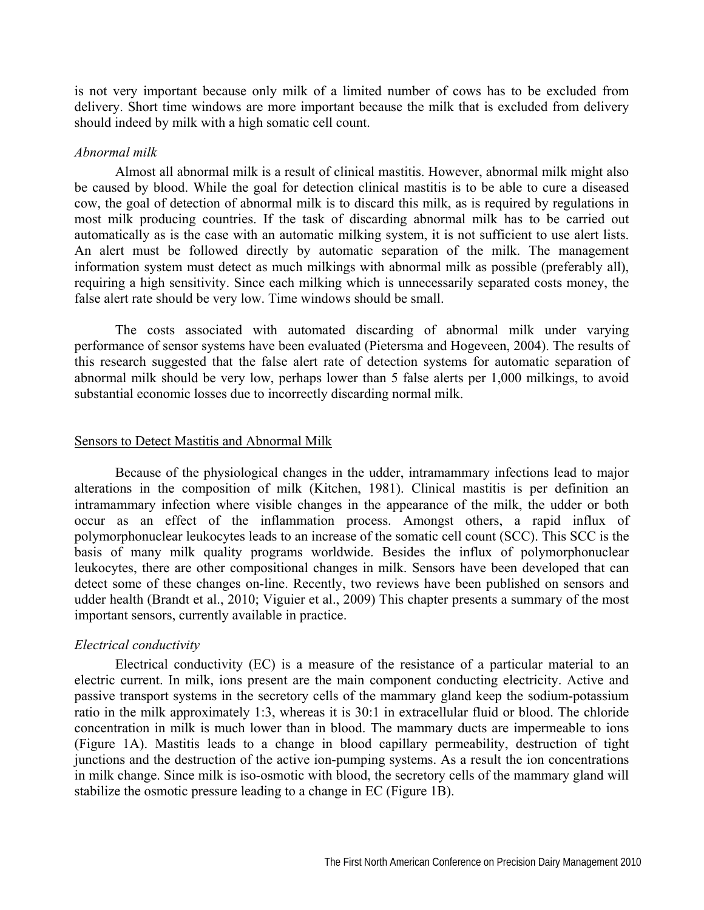is not very important because only milk of a limited number of cows has to be excluded from delivery. Short time windows are more important because the milk that is excluded from delivery should indeed by milk with a high somatic cell count.

#### *Abnormal milk*

Almost all abnormal milk is a result of clinical mastitis. However, abnormal milk might also be caused by blood. While the goal for detection clinical mastitis is to be able to cure a diseased cow, the goal of detection of abnormal milk is to discard this milk, as is required by regulations in most milk producing countries. If the task of discarding abnormal milk has to be carried out automatically as is the case with an automatic milking system, it is not sufficient to use alert lists. An alert must be followed directly by automatic separation of the milk. The management information system must detect as much milkings with abnormal milk as possible (preferably all), requiring a high sensitivity. Since each milking which is unnecessarily separated costs money, the false alert rate should be very low. Time windows should be small.

The costs associated with automated discarding of abnormal milk under varying performance of sensor systems have been evaluated (Pietersma and Hogeveen, 2004). The results of this research suggested that the false alert rate of detection systems for automatic separation of abnormal milk should be very low, perhaps lower than 5 false alerts per 1,000 milkings, to avoid substantial economic losses due to incorrectly discarding normal milk.

### Sensors to Detect Mastitis and Abnormal Milk

Because of the physiological changes in the udder, intramammary infections lead to major alterations in the composition of milk (Kitchen, 1981). Clinical mastitis is per definition an intramammary infection where visible changes in the appearance of the milk, the udder or both occur as an effect of the inflammation process. Amongst others, a rapid influx of polymorphonuclear leukocytes leads to an increase of the somatic cell count (SCC). This SCC is the basis of many milk quality programs worldwide. Besides the influx of polymorphonuclear leukocytes, there are other compositional changes in milk. Sensors have been developed that can detect some of these changes on-line. Recently, two reviews have been published on sensors and udder health (Brandt et al., 2010; Viguier et al., 2009) This chapter presents a summary of the most important sensors, currently available in practice.

#### *Electrical conductivity*

Electrical conductivity (EC) is a measure of the resistance of a particular material to an electric current. In milk, ions present are the main component conducting electricity. Active and passive transport systems in the secretory cells of the mammary gland keep the sodium-potassium ratio in the milk approximately 1:3, whereas it is 30:1 in extracellular fluid or blood. The chloride concentration in milk is much lower than in blood. The mammary ducts are impermeable to ions (Figure 1A). Mastitis leads to a change in blood capillary permeability, destruction of tight junctions and the destruction of the active ion-pumping systems. As a result the ion concentrations in milk change. Since milk is iso-osmotic with blood, the secretory cells of the mammary gland will stabilize the osmotic pressure leading to a change in EC (Figure 1B).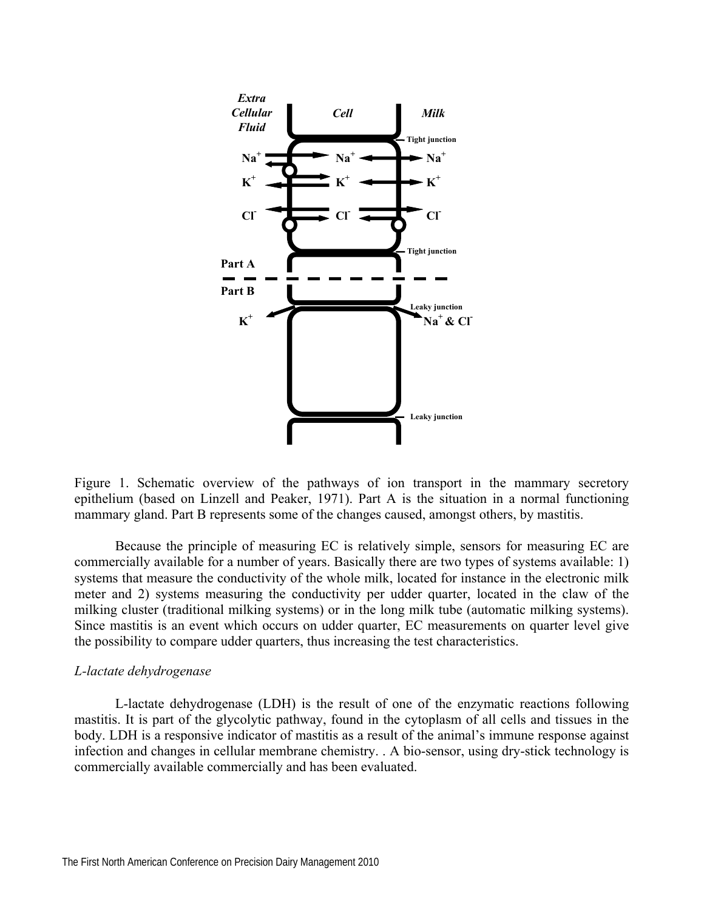

Figure 1. Schematic overview of the pathways of ion transport in the mammary secretory epithelium (based on Linzell and Peaker, 1971). Part A is the situation in a normal functioning mammary gland. Part B represents some of the changes caused, amongst others, by mastitis.

Because the principle of measuring EC is relatively simple, sensors for measuring EC are commercially available for a number of years. Basically there are two types of systems available: 1) systems that measure the conductivity of the whole milk, located for instance in the electronic milk meter and 2) systems measuring the conductivity per udder quarter, located in the claw of the milking cluster (traditional milking systems) or in the long milk tube (automatic milking systems). Since mastitis is an event which occurs on udder quarter, EC measurements on quarter level give the possibility to compare udder quarters, thus increasing the test characteristics.

### *L-lactate dehydrogenase*

L-lactate dehydrogenase (LDH) is the result of one of the enzymatic reactions following mastitis. It is part of the glycolytic pathway, found in the cytoplasm of all cells and tissues in the body. LDH is a responsive indicator of mastitis as a result of the animal's immune response against infection and changes in cellular membrane chemistry. . A bio-sensor, using dry-stick technology is commercially available commercially and has been evaluated.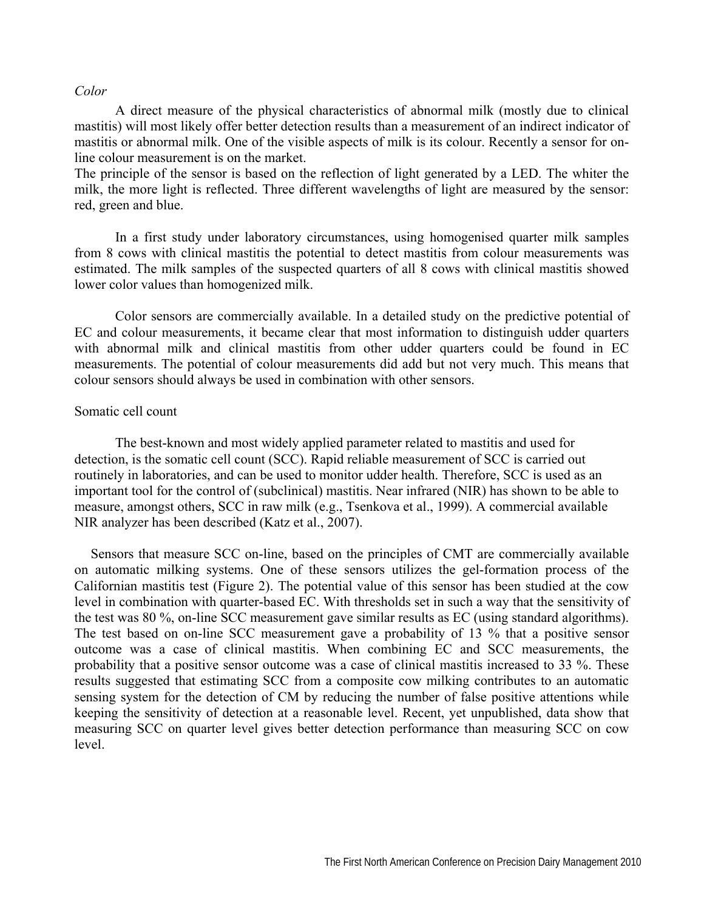### *Color*

A direct measure of the physical characteristics of abnormal milk (mostly due to clinical mastitis) will most likely offer better detection results than a measurement of an indirect indicator of mastitis or abnormal milk. One of the visible aspects of milk is its colour. Recently a sensor for online colour measurement is on the market.

The principle of the sensor is based on the reflection of light generated by a LED. The whiter the milk, the more light is reflected. Three different wavelengths of light are measured by the sensor: red, green and blue.

In a first study under laboratory circumstances, using homogenised quarter milk samples from 8 cows with clinical mastitis the potential to detect mastitis from colour measurements was estimated. The milk samples of the suspected quarters of all 8 cows with clinical mastitis showed lower color values than homogenized milk.

Color sensors are commercially available. In a detailed study on the predictive potential of EC and colour measurements, it became clear that most information to distinguish udder quarters with abnormal milk and clinical mastitis from other udder quarters could be found in EC measurements. The potential of colour measurements did add but not very much. This means that colour sensors should always be used in combination with other sensors.

#### Somatic cell count

The best-known and most widely applied parameter related to mastitis and used for detection, is the somatic cell count (SCC). Rapid reliable measurement of SCC is carried out routinely in laboratories, and can be used to monitor udder health. Therefore, SCC is used as an important tool for the control of (subclinical) mastitis. Near infrared (NIR) has shown to be able to measure, amongst others, SCC in raw milk (e.g., Tsenkova et al., 1999). A commercial available NIR analyzer has been described (Katz et al., 2007).

Sensors that measure SCC on-line, based on the principles of CMT are commercially available on automatic milking systems. One of these sensors utilizes the gel-formation process of the Californian mastitis test (Figure 2). The potential value of this sensor has been studied at the cow level in combination with quarter-based EC. With thresholds set in such a way that the sensitivity of the test was 80 %, on-line SCC measurement gave similar results as EC (using standard algorithms). The test based on on-line SCC measurement gave a probability of 13 % that a positive sensor outcome was a case of clinical mastitis. When combining EC and SCC measurements, the probability that a positive sensor outcome was a case of clinical mastitis increased to 33 %. These results suggested that estimating SCC from a composite cow milking contributes to an automatic sensing system for the detection of CM by reducing the number of false positive attentions while keeping the sensitivity of detection at a reasonable level. Recent, yet unpublished, data show that measuring SCC on quarter level gives better detection performance than measuring SCC on cow level.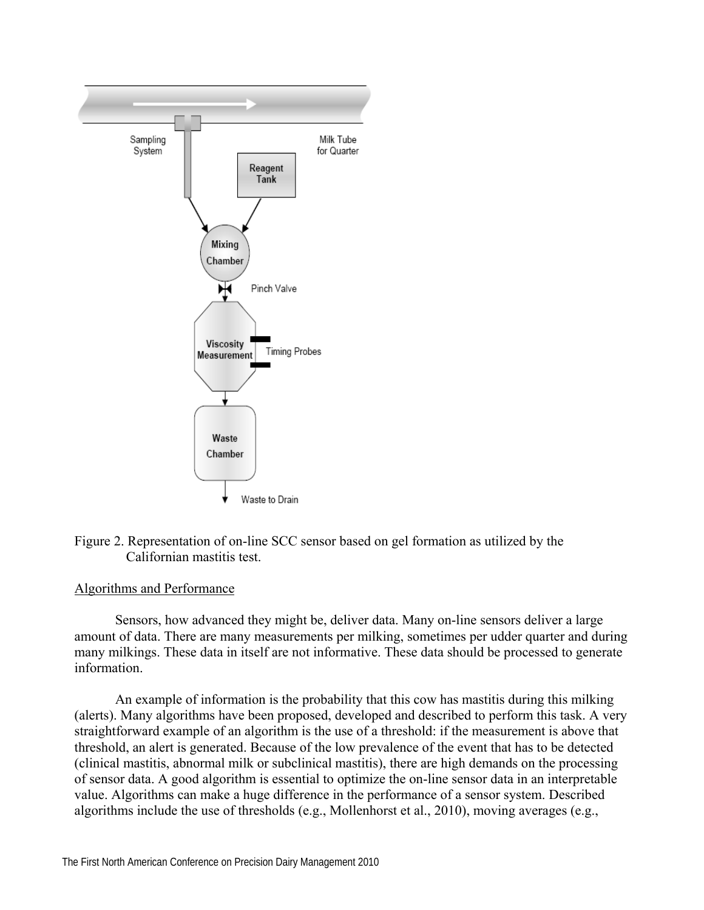

Figure 2. Representation of on-line SCC sensor based on gel formation as utilized by the Californian mastitis test.

# Algorithms and Performance

Sensors, how advanced they might be, deliver data. Many on-line sensors deliver a large amount of data. There are many measurements per milking, sometimes per udder quarter and during many milkings. These data in itself are not informative. These data should be processed to generate information.

An example of information is the probability that this cow has mastitis during this milking (alerts). Many algorithms have been proposed, developed and described to perform this task. A very straightforward example of an algorithm is the use of a threshold: if the measurement is above that threshold, an alert is generated. Because of the low prevalence of the event that has to be detected (clinical mastitis, abnormal milk or subclinical mastitis), there are high demands on the processing of sensor data. A good algorithm is essential to optimize the on-line sensor data in an interpretable value. Algorithms can make a huge difference in the performance of a sensor system. Described algorithms include the use of thresholds (e.g., Mollenhorst et al., 2010), moving averages (e.g.,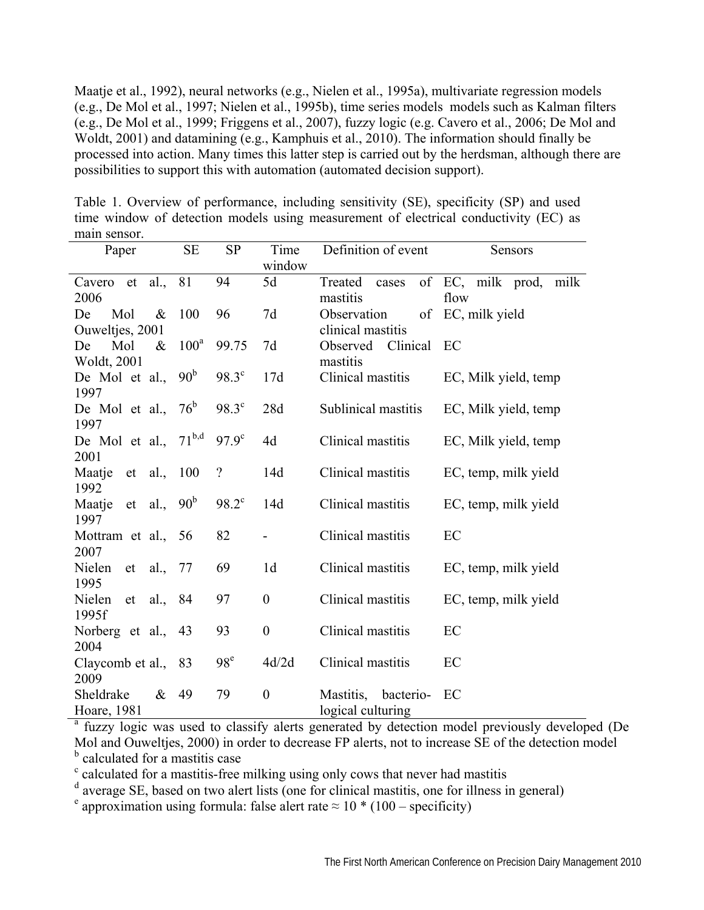Maatje et al., 1992), neural networks (e.g., Nielen et al., 1995a), multivariate regression models (e.g., De Mol et al., 1997; Nielen et al., 1995b), time series models models such as Kalman filters (e.g., De Mol et al., 1999; Friggens et al., 2007), fuzzy logic (e.g. Cavero et al., 2006; De Mol and Woldt, 2001) and datamining (e.g., Kamphuis et al., 2010). The information should finally be processed into action. Many times this latter step is carried out by the herdsman, although there are possibilities to support this with automation (automated decision support).

| Paper                          | $\rm SE$        | <b>SP</b>       | Time                     | Definition of event  | Sensors                   |
|--------------------------------|-----------------|-----------------|--------------------------|----------------------|---------------------------|
|                                |                 |                 | window                   |                      |                           |
| Cavero et al.,                 | 81              | 94              | 5d                       | Treated<br>cases     | of EC, milk prod,<br>milk |
| 2006                           |                 |                 |                          | mastitis             | flow                      |
| Mol<br>$\&$<br>De              | 100             | 96              | 7d                       | Observation          | of EC, milk yield         |
| Ouweltjes, 2001                |                 |                 |                          | clinical mastitis    |                           |
| Mol<br>$\&$<br>De              | $100^a$         | 99.75           | 7d                       | Clinical<br>Observed | EC                        |
| Woldt, 2001                    |                 |                 |                          | mastitis             |                           |
| De Mol et al.,                 | 90 <sup>b</sup> | $98.3^{\circ}$  | 17d                      | Clinical mastitis    | EC, Milk yield, temp      |
| 1997                           |                 |                 |                          |                      |                           |
| De Mol et al.,                 | $76^{\rm b}$    | $98.3^{\circ}$  | 28d                      | Sublinical mastitis  | EC, Milk yield, temp      |
| 1997                           |                 |                 |                          |                      |                           |
| De Mol et al.,                 | $71^{b,d}$      | $97.9^{\circ}$  | 4d                       | Clinical mastitis    | EC, Milk yield, temp      |
| 2001                           |                 |                 |                          |                      |                           |
| Maatje<br>et al.,              | 100             | $\gamma$        | 14d                      | Clinical mastitis    | EC, temp, milk yield      |
| 1992                           |                 |                 |                          |                      |                           |
| Maatje et al., 90 <sup>b</sup> |                 | $98.2^{\circ}$  | 14d                      | Clinical mastitis    | EC, temp, milk yield      |
| 1997                           |                 |                 |                          |                      |                           |
| Mottram et al., 56             |                 | 82              | $\overline{\phantom{0}}$ | Clinical mastitis    | EC                        |
| 2007                           |                 |                 |                          |                      |                           |
| Nielen et al., 77              |                 | 69              | 1 <sub>d</sub>           | Clinical mastitis    | EC, temp, milk yield      |
| 1995                           |                 |                 |                          |                      |                           |
| Nielen et al., 84              |                 | 97              | $\boldsymbol{0}$         | Clinical mastitis    | EC, temp, milk yield      |
| 1995f                          |                 |                 |                          |                      |                           |
| Norberg et al., 43             |                 | 93              | $\boldsymbol{0}$         | Clinical mastitis    | EC                        |
| 2004                           |                 |                 |                          |                      |                           |
| Claycomb et al., 83            |                 | 98 <sup>e</sup> | 4d/2d                    | Clinical mastitis    | EC                        |
| 2009                           |                 |                 |                          |                      |                           |
| Sheldrake<br>$\&$              | 49              | 79              | $\boldsymbol{0}$         | Mastitis, bacterio-  | EC                        |
| Hoare, 1981                    |                 |                 |                          | logical culturing    |                           |

Table 1. Overview of performance, including sensitivity (SE), specificity (SP) and used time window of detection models using measurement of electrical conductivity (EC) as main sensor.

Hoare, 1981 logical culturing a fuzzy logic was used to classify alerts generated by detection model previously developed (De Mol and Ouweltjes, 2000) in order to decrease FP alerts, not to increase SE of the detection model **b** calculated for a mastitis case

<sup>c</sup> calculated for a mastitis-free milking using only cows that never had mastitis

<sup>d</sup> average SE, based on two alert lists (one for clinical mastitis, one for illness in general)

<sup>e</sup> approximation using formula: false alert rate  $\approx 10 * (100 - \text{specificity})$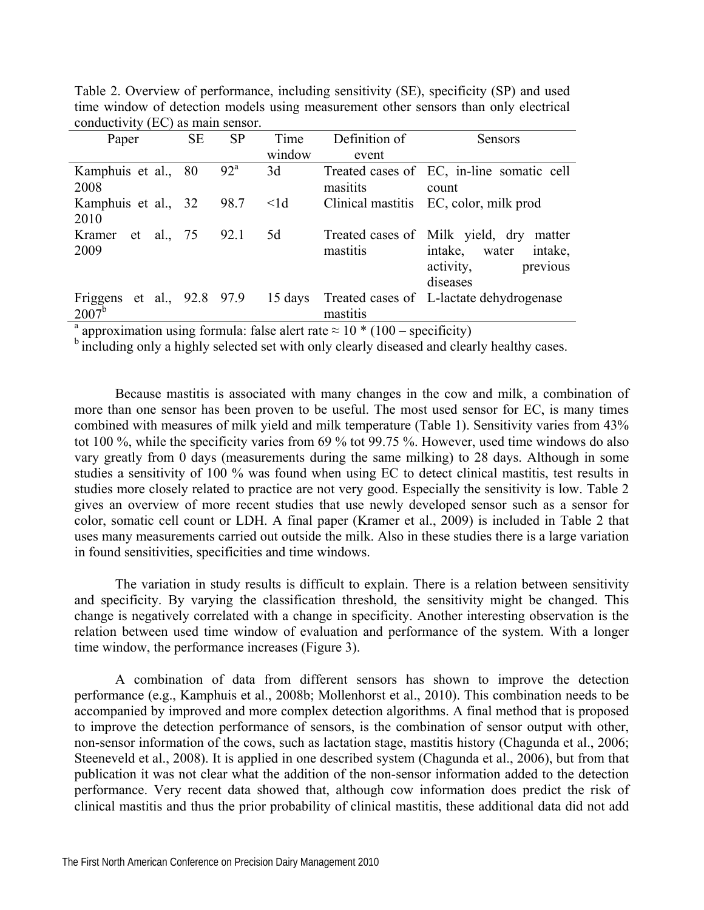| Paper                      | <b>SE</b> | <b>SP</b> | Time      | Definition of | <b>Sensors</b>                                   |
|----------------------------|-----------|-----------|-----------|---------------|--------------------------------------------------|
|                            |           |           | window    | event         |                                                  |
| Kamphuis et al.,           | 80        | $92^a$    | 3d        |               | Treated cases of EC, in-line somatic cell        |
| 2008                       |           |           |           | masitits      | count                                            |
| Kamphuis et al., 32        |           | 98.7      | $\leq$ ld |               | Clinical mastitis EC, color, milk prod           |
| 2010                       |           |           |           |               |                                                  |
| Kramer et al., 75 92.1     |           |           | 5d        |               | Treated cases of Milk yield, dry<br>matter       |
| 2009                       |           |           |           | mastitis      | intake,<br>intake,<br>water                      |
|                            |           |           |           |               | activity,<br>previous                            |
|                            |           |           |           |               | diseases                                         |
| Friggens et al., 92.8 97.9 |           |           |           |               | 15 days Treated cases of L-lactate dehydrogenese |
| $2007^{\rm b}$             |           |           |           | mastitis      |                                                  |

Table 2. Overview of performance, including sensitivity (SE), specificity (SP) and used time window of detection models using measurement other sensors than only electrical conductivity (EC) as main sensor.

<sup>a</sup> approximation using formula: false alert rate  $\approx 10 * (100 - \text{specificity})$ 

<sup>b</sup> including only a highly selected set with only clearly diseased and clearly healthy cases.

Because mastitis is associated with many changes in the cow and milk, a combination of more than one sensor has been proven to be useful. The most used sensor for EC, is many times combined with measures of milk yield and milk temperature (Table 1). Sensitivity varies from 43% tot 100 %, while the specificity varies from 69 % tot 99.75 %. However, used time windows do also vary greatly from 0 days (measurements during the same milking) to 28 days. Although in some studies a sensitivity of 100 % was found when using EC to detect clinical mastitis, test results in studies more closely related to practice are not very good. Especially the sensitivity is low. Table 2 gives an overview of more recent studies that use newly developed sensor such as a sensor for color, somatic cell count or LDH. A final paper (Kramer et al., 2009) is included in Table 2 that uses many measurements carried out outside the milk. Also in these studies there is a large variation in found sensitivities, specificities and time windows.

The variation in study results is difficult to explain. There is a relation between sensitivity and specificity. By varying the classification threshold, the sensitivity might be changed. This change is negatively correlated with a change in specificity. Another interesting observation is the relation between used time window of evaluation and performance of the system. With a longer time window, the performance increases (Figure 3).

A combination of data from different sensors has shown to improve the detection performance (e.g., Kamphuis et al., 2008b; Mollenhorst et al., 2010). This combination needs to be accompanied by improved and more complex detection algorithms. A final method that is proposed to improve the detection performance of sensors, is the combination of sensor output with other, non-sensor information of the cows, such as lactation stage, mastitis history (Chagunda et al., 2006; Steeneveld et al., 2008). It is applied in one described system (Chagunda et al., 2006), but from that publication it was not clear what the addition of the non-sensor information added to the detection performance. Very recent data showed that, although cow information does predict the risk of clinical mastitis and thus the prior probability of clinical mastitis, these additional data did not add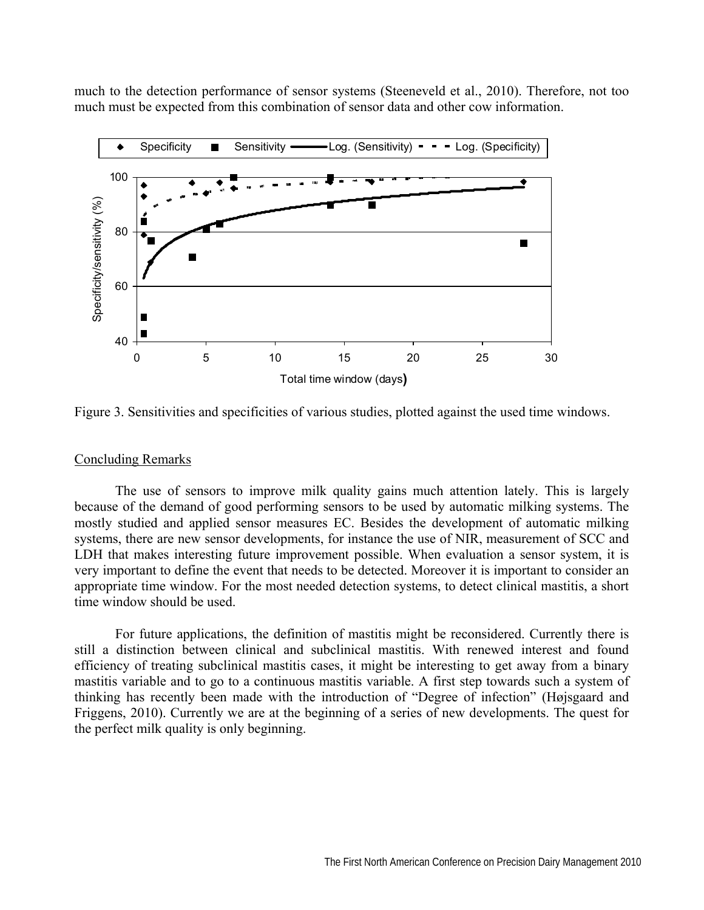much to the detection performance of sensor systems (Steeneveld et al., 2010). Therefore, not too much must be expected from this combination of sensor data and other cow information.



Figure 3. Sensitivities and specificities of various studies, plotted against the used time windows.

### Concluding Remarks

The use of sensors to improve milk quality gains much attention lately. This is largely because of the demand of good performing sensors to be used by automatic milking systems. The mostly studied and applied sensor measures EC. Besides the development of automatic milking systems, there are new sensor developments, for instance the use of NIR, measurement of SCC and LDH that makes interesting future improvement possible. When evaluation a sensor system, it is very important to define the event that needs to be detected. Moreover it is important to consider an appropriate time window. For the most needed detection systems, to detect clinical mastitis, a short time window should be used.

For future applications, the definition of mastitis might be reconsidered. Currently there is still a distinction between clinical and subclinical mastitis. With renewed interest and found efficiency of treating subclinical mastitis cases, it might be interesting to get away from a binary mastitis variable and to go to a continuous mastitis variable. A first step towards such a system of thinking has recently been made with the introduction of "Degree of infection" (Højsgaard and Friggens, 2010). Currently we are at the beginning of a series of new developments. The quest for the perfect milk quality is only beginning.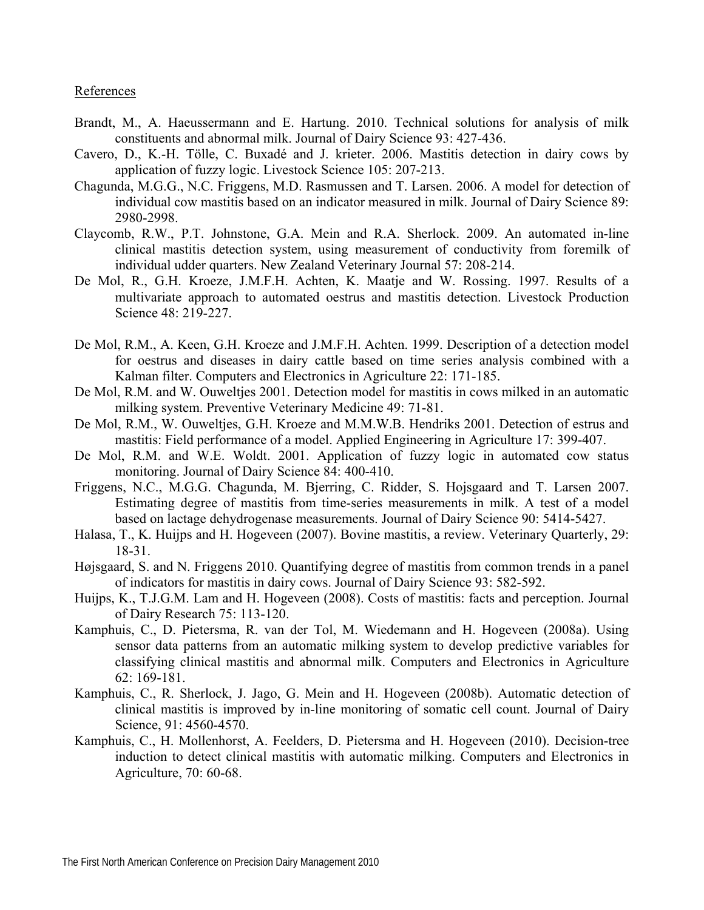### References

- Brandt, M., A. Haeussermann and E. Hartung. 2010. Technical solutions for analysis of milk constituents and abnormal milk. Journal of Dairy Science 93: 427-436.
- Cavero, D., K.-H. Tölle, C. Buxadé and J. krieter. 2006. Mastitis detection in dairy cows by application of fuzzy logic. Livestock Science 105: 207-213.
- Chagunda, M.G.G., N.C. Friggens, M.D. Rasmussen and T. Larsen. 2006. A model for detection of individual cow mastitis based on an indicator measured in milk. Journal of Dairy Science 89: 2980-2998.
- Claycomb, R.W., P.T. Johnstone, G.A. Mein and R.A. Sherlock. 2009. An automated in-line clinical mastitis detection system, using measurement of conductivity from foremilk of individual udder quarters. New Zealand Veterinary Journal 57: 208-214.
- De Mol, R., G.H. Kroeze, J.M.F.H. Achten, K. Maatje and W. Rossing. 1997. Results of a multivariate approach to automated oestrus and mastitis detection. Livestock Production Science 48: 219-227.
- De Mol, R.M., A. Keen, G.H. Kroeze and J.M.F.H. Achten. 1999. Description of a detection model for oestrus and diseases in dairy cattle based on time series analysis combined with a Kalman filter. Computers and Electronics in Agriculture 22: 171-185.
- De Mol, R.M. and W. Ouweltjes 2001. Detection model for mastitis in cows milked in an automatic milking system. Preventive Veterinary Medicine 49: 71-81.
- De Mol, R.M., W. Ouweltjes, G.H. Kroeze and M.M.W.B. Hendriks 2001. Detection of estrus and mastitis: Field performance of a model. Applied Engineering in Agriculture 17: 399-407.
- De Mol, R.M. and W.E. Woldt. 2001. Application of fuzzy logic in automated cow status monitoring. Journal of Dairy Science 84: 400-410.
- Friggens, N.C., M.G.G. Chagunda, M. Bjerring, C. Ridder, S. Hojsgaard and T. Larsen 2007. Estimating degree of mastitis from time-series measurements in milk. A test of a model based on lactage dehydrogenase measurements. Journal of Dairy Science 90: 5414-5427.
- Halasa, T., K. Huijps and H. Hogeveen (2007). Bovine mastitis, a review. Veterinary Quarterly, 29: 18-31.
- Højsgaard, S. and N. Friggens 2010. Quantifying degree of mastitis from common trends in a panel of indicators for mastitis in dairy cows. Journal of Dairy Science 93: 582-592.
- Huijps, K., T.J.G.M. Lam and H. Hogeveen (2008). Costs of mastitis: facts and perception. Journal of Dairy Research 75: 113-120.
- Kamphuis, C., D. Pietersma, R. van der Tol, M. Wiedemann and H. Hogeveen (2008a). Using sensor data patterns from an automatic milking system to develop predictive variables for classifying clinical mastitis and abnormal milk. Computers and Electronics in Agriculture 62: 169-181.
- Kamphuis, C., R. Sherlock, J. Jago, G. Mein and H. Hogeveen (2008b). Automatic detection of clinical mastitis is improved by in-line monitoring of somatic cell count. Journal of Dairy Science, 91: 4560-4570.
- Kamphuis, C., H. Mollenhorst, A. Feelders, D. Pietersma and H. Hogeveen (2010). Decision-tree induction to detect clinical mastitis with automatic milking. Computers and Electronics in Agriculture, 70: 60-68.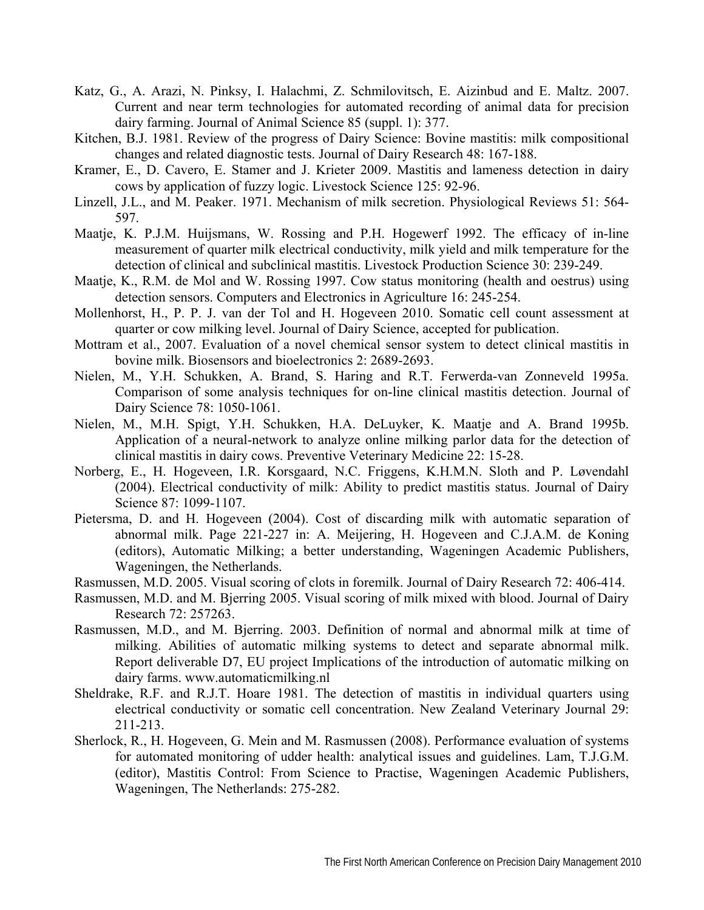- Katz, G., A. Arazi, N. Pinksy, I. Halachmi, Z. Schmilovitsch, E. Aizinbud and E. Maltz. 2007. Current and near term technologies for automated recording of animal data for precision dairy farming. Journal of Animal Science 85 (suppl. 1): 377.
- Kitchen, B.J. 1981. Review of the progress of Dairy Science: Bovine mastitis: milk compositional changes and related diagnostic tests. Journal of Dairy Research 48: 167-188.
- Kramer, E., D. Cavero, E. Stamer and J. Krieter 2009. Mastitis and lameness detection in dairy cows by application of fuzzy logic. Livestock Science 125: 92-96.
- Linzell, J.L., and M. Peaker. 1971. Mechanism of milk secretion. Physiological Reviews 51: 564- 597.
- Maatje, K. P.J.M. Huijsmans, W. Rossing and P.H. Hogewerf 1992. The efficacy of in-line measurement of quarter milk electrical conductivity, milk yield and milk temperature for the detection of clinical and subclinical mastitis. Livestock Production Science 30: 239-249.
- Maatje, K., R.M. de Mol and W. Rossing 1997. Cow status monitoring (health and oestrus) using detection sensors. Computers and Electronics in Agriculture 16: 245-254.
- Mollenhorst, H., P. P. J. van der Tol and H. Hogeveen 2010. Somatic cell count assessment at quarter or cow milking level. Journal of Dairy Science, accepted for publication.
- Mottram et al., 2007. Evaluation of a novel chemical sensor system to detect clinical mastitis in bovine milk. Biosensors and bioelectronics 2: 2689-2693.
- Nielen, M., Y.H. Schukken, A. Brand, S. Haring and R.T. Ferwerda-van Zonneveld 1995a. Comparison of some analysis techniques for on-line clinical mastitis detection. Journal of Dairy Science 78: 1050-1061.
- Nielen, M., M.H. Spigt, Y.H. Schukken, H.A. DeLuyker, K. Maatje and A. Brand 1995b. Application of a neural-network to analyze online milking parlor data for the detection of clinical mastitis in dairy cows. Preventive Veterinary Medicine 22: 15-28.
- Norberg, E., H. Hogeveen, I.R. Korsgaard, N.C. Friggens, K.H.M.N. Sloth and P. Løvendahl (2004). Electrical conductivity of milk: Ability to predict mastitis status. Journal of Dairy Science 87: 1099-1107.
- Pietersma, D. and H. Hogeveen (2004). Cost of discarding milk with automatic separation of abnormal milk. Page 221-227 in: A. Meijering, H. Hogeveen and C.J.A.M. de Koning (editors), Automatic Milking; a better understanding, Wageningen Academic Publishers, Wageningen, the Netherlands.
- Rasmussen, M.D. 2005. Visual scoring of clots in foremilk. Journal of Dairy Research 72: 406-414.
- Rasmussen, M.D. and M. Bjerring 2005. Visual scoring of milk mixed with blood. Journal of Dairy Research 72: 257263.
- Rasmussen, M.D., and M. Bjerring. 2003. Definition of normal and abnormal milk at time of milking. Abilities of automatic milking systems to detect and separate abnormal milk. Report deliverable D7, EU project Implications of the introduction of automatic milking on dairy farms. www.automaticmilking.nl
- Sheldrake, R.F. and R.J.T. Hoare 1981. The detection of mastitis in individual quarters using electrical conductivity or somatic cell concentration. New Zealand Veterinary Journal 29: 211-213.
- Sherlock, R., H. Hogeveen, G. Mein and M. Rasmussen (2008). Performance evaluation of systems for automated monitoring of udder health: analytical issues and guidelines. Lam, T.J.G.M. (editor), Mastitis Control: From Science to Practise, Wageningen Academic Publishers, Wageningen, The Netherlands: 275-282.